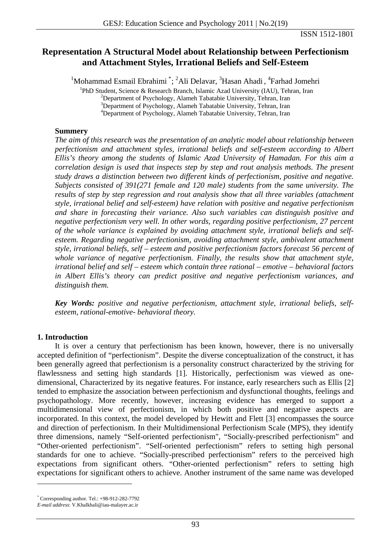# **Representation A Structural Model about Relationship between Perfectionism and Attachment Styles, Irrational Beliefs and Self-Esteem**

<sup>1</sup>Mohammad Esmail Ebrahimi<sup>[\\*](#page-0-0)</sup>; <sup>2</sup>Ali Delavar, <sup>3</sup>Hasan Ahadi, <sup>4</sup>

<sup>1</sup>PhD Student, Science & Research Branch, Islamic Azad University (IAU), Tehran, Iran

 $^{2}$ Department of Psychology, Alameh Tabatabie University, Tehran, Iran

<sup>3</sup>Department of Psychology, Alameh Tabatabie University, Tehran, Iran

4 Department of Psychology, Alameh Tabatabie University, Tehran, Iran

#### **Summery**

*The aim of this research was the presentation of an analytic model about relationship between perfectionism and attachment styles, irrational beliefs and self-esteem according to Albert Ellis's theory among the students of Islamic Azad University of Hamadan. For this aim a correlation design is used that inspects step by step and rout analysis methods. The present study draws a distinction between two different kinds of perfectionism, positive and negative. Subjects consisted of 391(271 female and 120 male) students from the same university. The results of step by step regression and rout analysis show that all three variables (attachment style, irrational belief and self-esteem) have relation with positive and negative perfectionism and share in forecasting their variance. Also such variables can distinguish positive and negative perfectionism very well. In other words, regarding positive perfectionism, 27 percent of the whole variance is explained by avoiding attachment style, irrational beliefs and selfesteem. Regarding negative perfectionism, avoiding attachment style, ambivalent attachment style, irrational beliefs, self – esteem and positive perfectionism factors forecast 56 percent of whole variance of negative perfectionism. Finally, the results show that attachment style, irrational belief and self – esteem which contain three rational – emotive – behavioral factors in Albert Ellis's theory can predict positive and negative perfectionism variances, and distinguish them.* 

*Key Words: positive and negative perfectionism, attachment style, irrational beliefs, selfesteem, rational-emotive- behavioral theory.* 

# **1. Introduction**

It is over a century that perfectionism has been known, however, there is no universally accepted definition of "perfectionism". Despite the diverse conceptualization of the construct, it has been generally agreed that perfectionism is a personality construct characterized by the striving for flawlessness and setting high standards [1]. Historically, perfectionism was viewed as onedimensional, Characterized by its negative features. For instance, early researchers such as Ellis [2] tended to emphasize the association between perfectionism and dysfunctional thoughts, feelings and psychopathology. More recently, however, increasing evidence has emerged to support a multidimensional view of perfectionism, in which both positive and negative aspects are incorporated. In this context, the model developed by Hewitt and Flett [3] encompasses the source and direction of perfectionism. In their Multidimensional Perfectionism Scale (MPS), they identify three dimensions, namely "Self-oriented perfectionism", "Socially-prescribed perfectionism" and "Other-oriented perfectionism". "Self-oriented perfectionism" refers to setting high personal standards for one to achieve. "Socially-prescribed perfectionism" refers to the perceived high expectations from significant others. "Other-oriented perfectionism" refers to setting high expectations for significant others to achieve. Another instrument of the same name was developed

<span id="page-0-0"></span><sup>\*</sup> Corresponding author. Tel.: +98-912-282-7792

*E-mail address*: V.Khalkhali@iau-malayer.ac.ir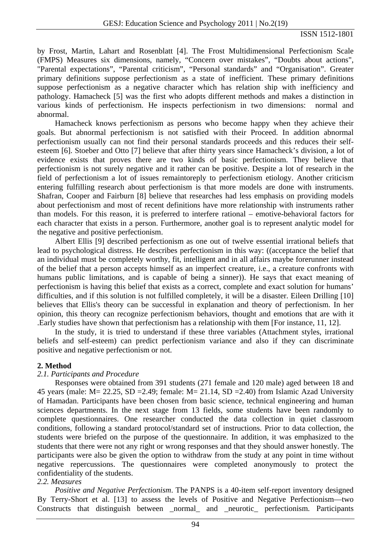by Frost, Martin, Lahart and Rosenblatt [4]. The Frost Multidimensional Perfectionism Scale (FMPS) Measures six dimensions, namely, "Concern over mistakes", "Doubts about actions", "Parental expectations", "Parental criticism", "Personal standards" and "Organisation". Greater primary definitions suppose perfectionism as a state of inefficient. These primary definitions suppose perfectionism as a negative character which has relation ship with inefficiency and pathology. Hamacheck [5] was the first who adopts different methods and makes a distinction in various kinds of perfectionism. He inspects perfectionism in two dimensions: normal and abnormal.

Hamacheck knows perfectionism as persons who become happy when they achieve their goals. But abnormal perfectionism is not satisfied with their Proceed. In addition abnormal perfectionism usually can not find their personal standards proceeds and this reduces their selfesteem [6]. Stoeber and Otto [7] believe that after thirty years since Hamacheck's division, a lot of evidence exists that proves there are two kinds of basic perfectionism. They believe that perfectionism is not surely negative and it rather can be positive. Despite a lot of research in the field of perfectionism a lot of issues remaintoreply to perfectionism etiology. Another criticism entering fulfilling research about perfectionism is that more models are done with instruments. Shafran, Cooper and Fairburn [8] believe that researches had less emphasis on providing models about perfectionism and most of recent definitions have more relationship with instruments rather than models. For this reason, it is preferred to interfere rational – emotive-behavioral factors for each character that exists in a person. Furthermore, another goal is to represent analytic model for the negative and positive perfectionism.

Albert Ellis [9] described perfectionism as one out of twelve essential irrational beliefs that lead to psychological distress. He describes perfectionism in this way: ((acceptance the belief that an individual must be completely worthy, fit, intelligent and in all affairs maybe forerunner instead of the belief that a person accepts himself as an imperfect creature, i.e., a creature confronts with humans public limitations, and is capable of being a sinner)). He says that exact meaning of perfectionism is having this belief that exists as a correct, complete and exact solution for humans' difficulties, and if this solution is not fulfilled completely, it will be a disaster. Eileen Drilling [10] believes that Ellis's theory can be successful in explanation and theory of perfectionism. In her opinion, this theory can recognize perfectionism behaviors, thought and emotions that are with it .Early studies have shown that perfectionism has a relationship with them [For instance, 11, 12].

In the study, it is tried to understand if these three variables (Attachment styles, irrational beliefs and self-esteem) can predict perfectionism variance and also if they can discriminate positive and negative perfectionism or not.

#### **2. Method**

#### *2.1. Participants and Procedure*

Responses were obtained from 391 students (271 female and 120 male) aged between 18 and 45 years (male:  $M = 22.25$ ,  $SD = 2.49$ ; female:  $M = 21.14$ ,  $SD = 2.40$ ) from Islamic Azad University of Hamadan. Participants have been chosen from basic science, technical engineering and human sciences departments. In the next stage from 13 fields, some students have been randomly to complete questionnaires. One researcher conducted the data collection in quiet classroom conditions, following a standard protocol/standard set of instructions. Prior to data collection, the students were briefed on the purpose of the questionnaire. In addition, it was emphasized to the students that there were not any right or wrong responses and that they should answer honestly. The participants were also be given the option to withdraw from the study at any point in time without negative repercussions. The questionnaires were completed anonymously to protect the confidentiality of the students.

# *2.2. Measures*

*Positive and Negative Perfectionism*. The PANPS is a 40-item self-report inventory designed By Terry-Short et al. [13] to assess the levels of Positive and Negative Perfectionism—two Constructs that distinguish between \_normal\_ and \_neurotic\_ perfectionism. Participants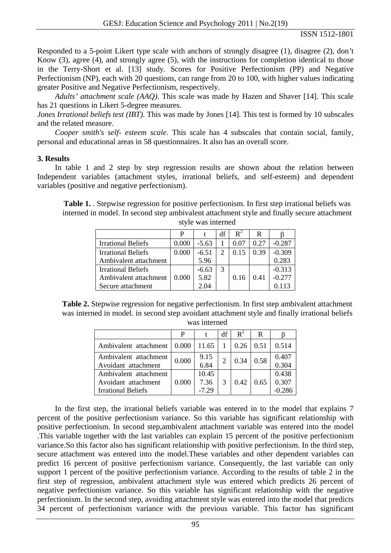Responded to a 5-point Likert type scale with anchors of strongly disagree (1), disagree (2), don*'*t Know (3), agree (4), and strongly agree (5), with the instructions for completion identical to those in the Terry-Short et al. [13] study. Scores for Positive Perfectionism (PP) and Negative Perfectionism (NP), each with 20 questions, can range from 20 to 100, with higher values indicating greater Positive and Negative Perfectionism, respectively.

*Adults' attachment scale (AAQ)*. This scale was made by Hazen and Shaver [14]. This scale has 21 questions in Likert 5-degree measures.

*Jones Irrational beliefs test (IBT)*. This was made by Jones [14]. This test is formed by 10 subscales and the related measure.

*Cooper smith's self- esteem scale*. This scale has 4 subscales that contain social, family, personal and educational areas in 58 questionnaires. It also has an overall score.

#### **3. Results**

In table 1 and 2 step by step regression results are shown about the relation between Independent variables (attachment styles, irrational beliefs, and self-esteem) and dependent variables (positive and negative perfectionism).

**Table 1.** . Stepwise regression for positive perfectionism. In first step irrational beliefs was interned in model. In second step ambivalent attachment style and finally secure attachment style was interned

|                           | P     |         | df | $\mathbf{R}^2$ | R    |          |
|---------------------------|-------|---------|----|----------------|------|----------|
| <b>Irrational Beliefs</b> | 0.000 | $-5.63$ |    | 0.07           | 0.27 | $-0.287$ |
| <b>Irrational Beliefs</b> | 0.000 | $-6.51$ |    | 0.15           | 0.39 | $-0.309$ |
| Ambivalent attachment     |       | 5.96    |    |                |      | 0.283    |
| <b>Irrational Beliefs</b> |       | $-6.63$ |    |                |      | $-0.313$ |
| Ambivalent attachment     | 0.000 | 5.82    |    | 0.16           | 0.41 | $-0.277$ |
| Secure attachment         |       | 2. O4   |    |                |      | 0.113    |

Table 2. Stepwise regression for negative perfectionism. In first step ambivalent attachment was interned in model. in second step avoidant attachment style and finally irrational beliefs was interned

|                                                                           | P     |                          | df                          | $\mathbf{R}^2$ | R    |                            |
|---------------------------------------------------------------------------|-------|--------------------------|-----------------------------|----------------|------|----------------------------|
| Ambivalent attachment                                                     | 0.000 | 11.65                    |                             | 0.26           | 0.51 | 0.514                      |
| Ambivalent attachment<br>Avoidant attachment                              | 0.000 | 9.15<br>6.84             | $\mathcal{D}_{\mathcal{L}}$ | 0.34           | 0.58 | 0.407<br>0.304             |
| Ambivalent attachment<br>Avoidant attachment<br><b>Irrational Beliefs</b> | 0.000 | 10.45<br>7.36<br>$-7.29$ | 3                           | 0.42           | 0.65 | 0.438<br>0.307<br>$-0.286$ |

In the first step, the irrational beliefs variable was entered in to the model that explains 7 percent of the positive perfectionism variance. So this variable has significant relationship with positive perfectionism. In second step,ambivalent attachment variable was entered into the model .This variable together with the last variables can explain 15 percent of the positive perfectionism variance.So this factor also has significant relationship with positive perfectionism. In the third step, secure attachment was entered into the model.These variables and other dependent variables can predict 16 percent of positive perfectionism variance. Consequently, the last variable can only support 1 percent of the positive perfectionism variance. According to the results of table 2 in the first step of regression, ambivalent attachment style was entered which predicts 26 percent of negative perfectionism variance. So this variable has significant relationship with the negative perfectionism. In the second step, avoiding attachment style was entered into the model that predicts 34 percent of perfectionism variance with the previous variable. This factor has significant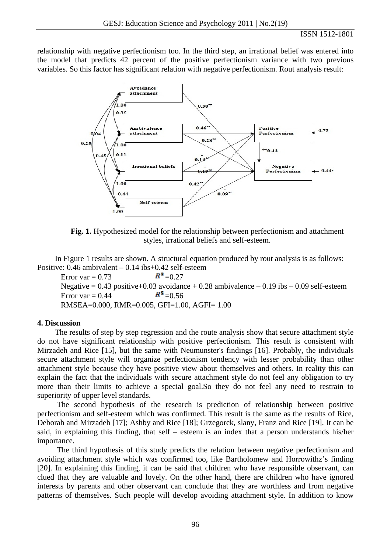### ISSN 1512-1801

relationship with negative perfectionism too. In the third step, an irrational belief was entered into the model that predicts 42 percent of the positive perfectionism variance with two previous variables. So this factor has significant relation with negative perfectionism. Rout analysis result:



**Fig. 1.** Hypothesized model for the relationship between perfectionism and attachment styles, irrational beliefs and self-esteem.

In Figure 1 results are shown. A structural equation produced by rout analysis is as follows: Positive: 0.46 ambivalent – 0.14 ibs+0.42 self-esteem

Error var = 0.73  $R^2 = 0.27$ Negative =  $0.43$  positive +  $0.03$  avoidance +  $0.28$  ambivalence  $-0.19$  ibs  $-0.09$  self-esteem Error var =  $0.44$   $R^2$  =  $0.56$ RMSEA=0.000, RMR=0.005, GFI=1.00, AGFI= 1.00

# **4. Discussion**

The results of step by step regression and the route analysis show that secure attachment style do not have significant relationship with positive perfectionism. This result is consistent with Mirzadeh and Rice [15], but the same with Neumunster's findings [16]. Probably, the individuals secure attachment style will organize perfectionism tendency with lesser probability than other attachment style because they have positive view about themselves and others. In reality this can explain the fact that the individuals with secure attachment style do not feel any obligation to try more than their limits to achieve a special goal.So they do not feel any need to restrain to superiority of upper level standards.

 The second hypothesis of the research is prediction of relationship between positive perfectionism and self-esteem which was confirmed. This result is the same as the results of Rice, Deborah and Mirzadeh [17]; Ashby and Rice [18]; Grzegorck, slany, Franz and Rice [19]. It can be said, in explaining this finding, that self – esteem is an index that a person understands his/her importance.

 The third hypothesis of this study predicts the relation between negative perfectionism and avoiding attachment style which was confirmed too, like Bartholomew and Horrowithz's finding [20]. In explaining this finding, it can be said that children who have responsible observant, can clued that they are valuable and lovely. On the other hand, there are children who have ignored interests by parents and other observant can conclude that they are worthless and from negative patterns of themselves. Such people will develop avoiding attachment style. In addition to know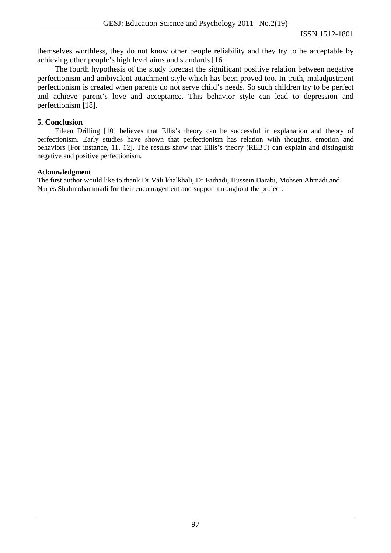themselves worthless, they do not know other people reliability and they try to be acceptable by achieving other people's high level aims and standards [16].

The fourth hypothesis of the study forecast the significant positive relation between negative perfectionism and ambivalent attachment style which has been proved too. In truth, maladjustment perfectionism is created when parents do not serve child's needs. So such children try to be perfect and achieve parent's love and acceptance. This behavior style can lead to depression and perfectionism [18].

### **5. Conclusion**

Eileen Drilling [10] believes that Ellis's theory can be successful in explanation and theory of perfectionism. Early studies have shown that perfectionism has relation with thoughts, emotion and behaviors [For instance, 11, 12]. The results show that Ellis's theory (REBT) can explain and distinguish negative and positive perfectionism.

### **Acknowledgment**

The first author would like to thank Dr Vali khalkhali, Dr Farhadi, Hussein Darabi, Mohsen Ahmadi and Narjes Shahmohammadi for their encouragement and support throughout the project.